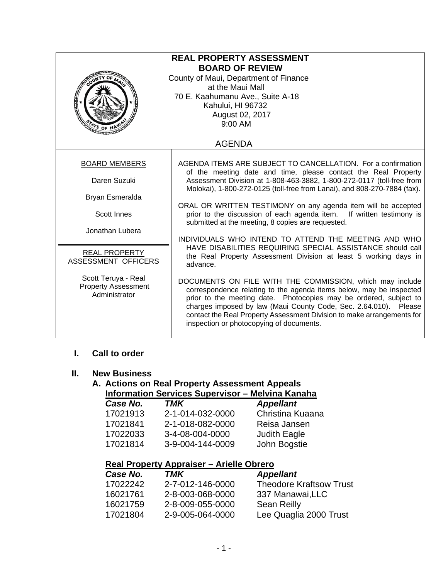| <b>REAL PROPERTY ASSESSMENT</b><br><b>BOARD OF REVIEW</b><br>County of Maui, Department of Finance<br>at the Maui Mall<br>70 E. Kaahumanu Ave., Suite A-18<br>Kahului, HI 96732<br>August 02, 2017<br>$9:00$ AM |                                                                                                                                                                                                                                                                                                                                                                                                |  |
|-----------------------------------------------------------------------------------------------------------------------------------------------------------------------------------------------------------------|------------------------------------------------------------------------------------------------------------------------------------------------------------------------------------------------------------------------------------------------------------------------------------------------------------------------------------------------------------------------------------------------|--|
|                                                                                                                                                                                                                 | <b>AGENDA</b>                                                                                                                                                                                                                                                                                                                                                                                  |  |
| <b>BOARD MEMBERS</b>                                                                                                                                                                                            | AGENDA ITEMS ARE SUBJECT TO CANCELLATION. For a confirmation                                                                                                                                                                                                                                                                                                                                   |  |
| Daren Suzuki                                                                                                                                                                                                    | of the meeting date and time, please contact the Real Property<br>Assessment Division at 1-808-463-3882, 1-800-272-0117 (toll-free from<br>Molokai), 1-800-272-0125 (toll-free from Lanai), and 808-270-7884 (fax).                                                                                                                                                                            |  |
| Bryan Esmeralda                                                                                                                                                                                                 |                                                                                                                                                                                                                                                                                                                                                                                                |  |
| Scott Innes                                                                                                                                                                                                     | ORAL OR WRITTEN TESTIMONY on any agenda item will be accepted<br>prior to the discussion of each agenda item. If written testimony is<br>submitted at the meeting, 8 copies are requested.                                                                                                                                                                                                     |  |
| Jonathan Lubera                                                                                                                                                                                                 | INDIVIDUALS WHO INTEND TO ATTEND THE MEETING AND WHO                                                                                                                                                                                                                                                                                                                                           |  |
| REAL PROPERTY<br>ASSESSMENT OFFICERS                                                                                                                                                                            | HAVE DISABILITIES REQUIRING SPECIAL ASSISTANCE should call<br>the Real Property Assessment Division at least 5 working days in<br>advance.                                                                                                                                                                                                                                                     |  |
| Scott Teruya - Real<br><b>Property Assessment</b><br>Administrator                                                                                                                                              | DOCUMENTS ON FILE WITH THE COMMISSION, which may include<br>correspondence relating to the agenda items below, may be inspected<br>prior to the meeting date. Photocopies may be ordered, subject to<br>charges imposed by law (Maui County Code, Sec. 2.64.010). Please<br>contact the Real Property Assessment Division to make arrangements for<br>inspection or photocopying of documents. |  |

## **I. Call to order**

#### **II. New Business**

#### **A. Actions on Real Property Assessment Appeals Information Services Supervisor – Melvina Kanaha**

| Case No. | TMK              | <b>Appellant</b>    |
|----------|------------------|---------------------|
| 17021913 | 2-1-014-032-0000 | Christina Kuaana    |
| 17021841 | 2-1-018-082-0000 | Reisa Jansen        |
| 17022033 | 3-4-08-004-0000  | <b>Judith Eagle</b> |
| 17021814 | 3-9-004-144-0009 | John Bogstie        |
|          |                  |                     |

# **Real Property Appraiser – Arielle Obrero**

| Case No. | TMK              | <b>Appellant</b>               |
|----------|------------------|--------------------------------|
| 17022242 | 2-7-012-146-0000 | <b>Theodore Kraftsow Trust</b> |
| 16021761 | 2-8-003-068-0000 | 337 Manawai, LLC               |
| 16021759 | 2-8-009-055-0000 | <b>Sean Reilly</b>             |
| 17021804 | 2-9-005-064-0000 | Lee Quaglia 2000 Trust         |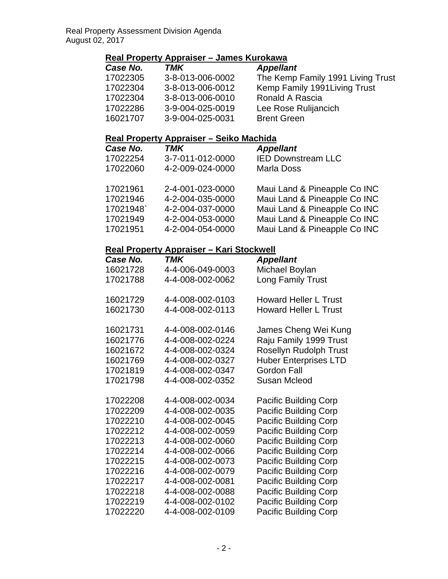# **Real Property Appraiser – James Kurokawa**

| Case No. | TMK              | <b>Appellant</b>                  |
|----------|------------------|-----------------------------------|
| 17022305 | 3-8-013-006-0002 | The Kemp Family 1991 Living Trust |
| 17022304 | 3-8-013-006-0012 | Kemp Family 1991 Living Trust     |
| 17022304 | 3-8-013-006-0010 | Ronald A Rascia                   |
| 17022286 | 3-9-004-025-0019 | Lee Rose Rulijancich              |
| 16021707 | 3-9-004-025-0031 | <b>Brent Green</b>                |

### **Real Property Appraiser – Seiko Machida**

| Case No. | <b>TMK</b>       | <b>Appellant</b>             |
|----------|------------------|------------------------------|
| 17022254 | 3-7-011-012-0000 | <b>IED Downstream LLC</b>    |
| 17022060 | 4-2-009-024-0000 | <b>Marla Doss</b>            |
| 17021961 | 2-4-001-023-0000 | Maui Land & Pineapple Co INC |
| 17021946 | 4-2-004-035-0000 | Maui Land & Pineapple Co INC |
| 17021948 | 4-2-004-037-0000 | Maui Land & Pineapple Co INC |
| 17021949 | 4-2-004-053-0000 | Maui Land & Pineapple Co INC |
| 17021951 | 4-2-004-054-0000 | Maui Land & Pineapple Co INC |

#### **Real Property Appraiser – Kari Stockwell**

| Case No. | TMK              | <b>Appellant</b>             |
|----------|------------------|------------------------------|
| 16021728 | 4-4-006-049-0003 | Michael Boylan               |
| 17021788 | 4-4-008-002-0062 | <b>Long Family Trust</b>     |
| 16021729 | 4-4-008-002-0103 | <b>Howard Heller L Trust</b> |
| 16021730 | 4-4-008-002-0113 | <b>Howard Heller L Trust</b> |
| 16021731 | 4-4-008-002-0146 | James Cheng Wei Kung         |
| 16021776 | 4-4-008-002-0224 | Raju Family 1999 Trust       |
| 16021672 | 4-4-008-002-0324 | Rosellyn Rudolph Trust       |
| 16021769 | 4-4-008-002-0327 | <b>Huber Enterprises LTD</b> |
| 17021819 | 4-4-008-002-0347 | <b>Gordon Fall</b>           |
| 17021798 | 4-4-008-002-0352 | <b>Susan Mcleod</b>          |
| 17022208 | 4-4-008-002-0034 | <b>Pacific Building Corp</b> |
| 17022209 | 4-4-008-002-0035 | <b>Pacific Building Corp</b> |
| 17022210 | 4-4-008-002-0045 | <b>Pacific Building Corp</b> |
| 17022212 | 4-4-008-002-0059 | <b>Pacific Building Corp</b> |
| 17022213 | 4-4-008-002-0060 | <b>Pacific Building Corp</b> |
| 17022214 | 4-4-008-002-0066 | <b>Pacific Building Corp</b> |
| 17022215 | 4-4-008-002-0073 | <b>Pacific Building Corp</b> |
| 17022216 | 4-4-008-002-0079 | <b>Pacific Building Corp</b> |
| 17022217 | 4-4-008-002-0081 | <b>Pacific Building Corp</b> |
| 17022218 | 4-4-008-002-0088 | <b>Pacific Building Corp</b> |
| 17022219 | 4-4-008-002-0102 | <b>Pacific Building Corp</b> |
| 17022220 | 4-4-008-002-0109 | <b>Pacific Building Corp</b> |